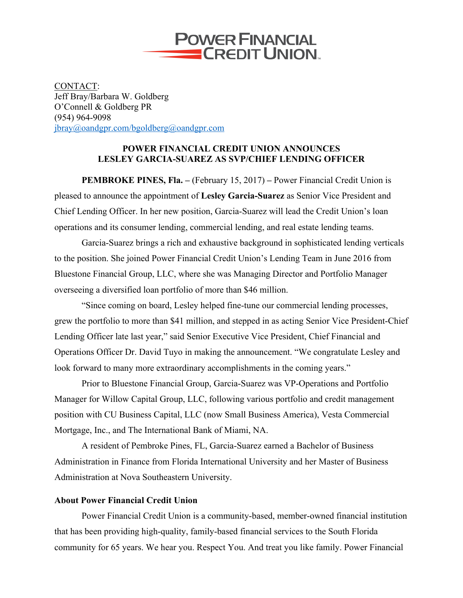

CONTACT: Jeff Bray/Barbara W. Goldberg O'Connell & Goldberg PR (954) 964-9098 jbray@oandgpr.com/bgoldberg@oandgpr.com

## **POWER FINANCIAL CREDIT UNION ANNOUNCES LESLEY GARCIA-SUAREZ AS SVP/CHIEF LENDING OFFICER**

**PEMBROKE PINES, Fla. –** (February 15, 2017) **–** Power Financial Credit Union is pleased to announce the appointment of **Lesley Garcia-Suarez** as Senior Vice President and Chief Lending Officer. In her new position, Garcia-Suarez will lead the Credit Union's loan operations and its consumer lending, commercial lending, and real estate lending teams.

Garcia-Suarez brings a rich and exhaustive background in sophisticated lending verticals to the position. She joined Power Financial Credit Union's Lending Team in June 2016 from Bluestone Financial Group, LLC, where she was Managing Director and Portfolio Manager overseeing a diversified loan portfolio of more than \$46 million.

"Since coming on board, Lesley helped fine-tune our commercial lending processes, grew the portfolio to more than \$41 million, and stepped in as acting Senior Vice President-Chief Lending Officer late last year," said Senior Executive Vice President, Chief Financial and Operations Officer Dr. David Tuyo in making the announcement. "We congratulate Lesley and look forward to many more extraordinary accomplishments in the coming years."

Prior to Bluestone Financial Group, Garcia-Suarez was VP-Operations and Portfolio Manager for Willow Capital Group, LLC, following various portfolio and credit management position with CU Business Capital, LLC (now Small Business America), Vesta Commercial Mortgage, Inc., and The International Bank of Miami, NA.

A resident of Pembroke Pines, FL, Garcia-Suarez earned a Bachelor of Business Administration in Finance from Florida International University and her Master of Business Administration at Nova Southeastern University.

## **About Power Financial Credit Union**

Power Financial Credit Union is a community-based, member-owned financial institution that has been providing high-quality, family-based financial services to the South Florida community for 65 years. We hear you. Respect You. And treat you like family. Power Financial